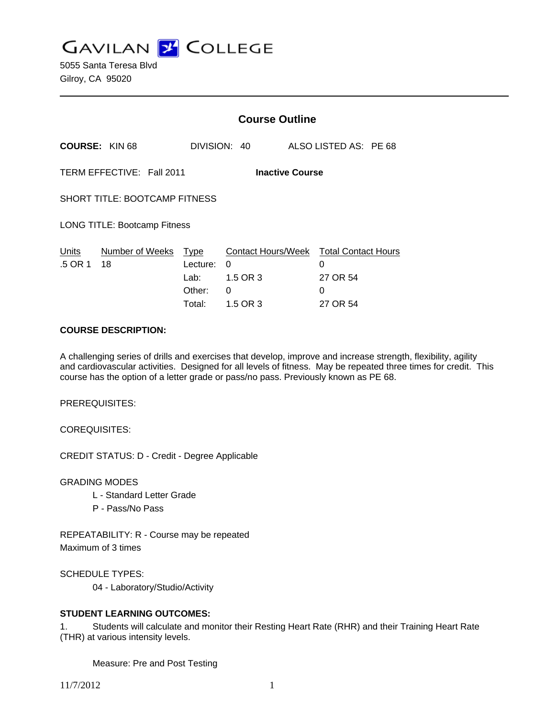**GAVILAN Z COLLEGE** 

|                                                     |                       | <b>Course Outline</b>                           |                                |  |                                                                          |
|-----------------------------------------------------|-----------------------|-------------------------------------------------|--------------------------------|--|--------------------------------------------------------------------------|
| <b>COURSE: KIN 68</b>                               |                       |                                                 | DIVISION: 40                   |  | ALSO LISTED AS: PE 68                                                    |
| TERM EFFECTIVE: Fall 2011<br><b>Inactive Course</b> |                       |                                                 |                                |  |                                                                          |
| <b>SHORT TITLE: BOOTCAMP FITNESS</b>                |                       |                                                 |                                |  |                                                                          |
| <b>LONG TITLE: Bootcamp Fitness</b>                 |                       |                                                 |                                |  |                                                                          |
| Units<br>.5 OR 1                                    | Number of Weeks<br>18 | Type<br>Lecture:<br>Lab: __<br>Other:<br>Total: | 0<br>1.5 OR 3<br>0<br>1.5 OR 3 |  | Contact Hours/Week Total Contact Hours<br>0<br>27 OR 54<br>0<br>27 OR 54 |

#### **COURSE DESCRIPTION:**

A challenging series of drills and exercises that develop, improve and increase strength, flexibility, agility and cardiovascular activities. Designed for all levels of fitness. May be repeated three times for credit. This course has the option of a letter grade or pass/no pass. Previously known as PE 68.

PREREQUISITES:

COREQUISITES:

CREDIT STATUS: D - Credit - Degree Applicable

GRADING MODES

- L Standard Letter Grade
- P Pass/No Pass

REPEATABILITY: R - Course may be repeated Maximum of 3 times

SCHEDULE TYPES:

04 - Laboratory/Studio/Activity

#### **STUDENT LEARNING OUTCOMES:**

1. Students will calculate and monitor their Resting Heart Rate (RHR) and their Training Heart Rate (THR) at various intensity levels.

Measure: Pre and Post Testing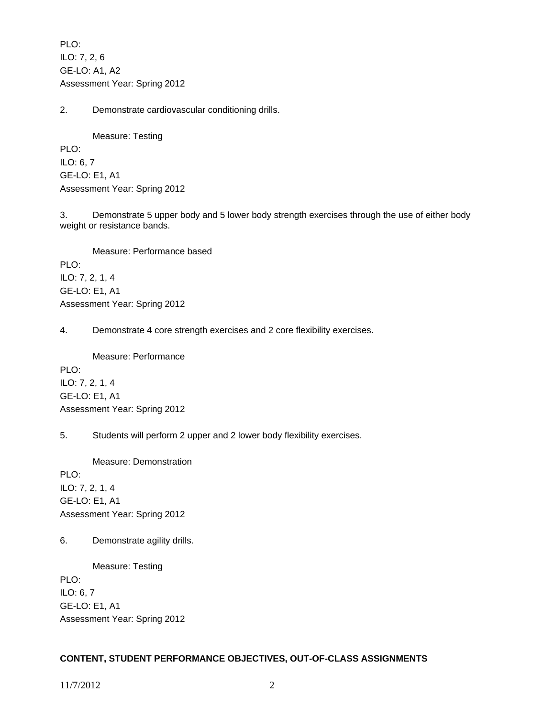PLO: ILO: 7, 2, 6 GE-LO: A1, A2 Assessment Year: Spring 2012

2. Demonstrate cardiovascular conditioning drills.

 Measure: Testing PLO: ILO: 6, 7 GE-LO: E1, A1 Assessment Year: Spring 2012

3. Demonstrate 5 upper body and 5 lower body strength exercises through the use of either body weight or resistance bands.

 Measure: Performance based PLO: ILO: 7, 2, 1, 4 GE-LO: E1, A1 Assessment Year: Spring 2012

4. Demonstrate 4 core strength exercises and 2 core flexibility exercises.

Measure: Performance

PLO: ILO: 7, 2, 1, 4 GE-LO: E1, A1 Assessment Year: Spring 2012

5. Students will perform 2 upper and 2 lower body flexibility exercises.

Measure: Demonstration

PLO: ILO: 7, 2, 1, 4 GE-LO: E1, A1 Assessment Year: Spring 2012

6. Demonstrate agility drills.

Measure: Testing

PLO: ILO: 6, 7 GE-LO: E1, A1 Assessment Year: Spring 2012

# **CONTENT, STUDENT PERFORMANCE OBJECTIVES, OUT-OF-CLASS ASSIGNMENTS**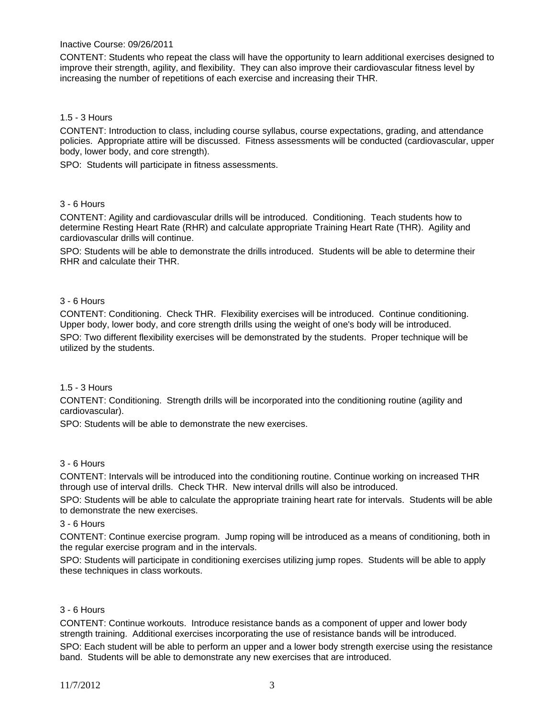#### Inactive Course: 09/26/2011

CONTENT: Students who repeat the class will have the opportunity to learn additional exercises designed to improve their strength, agility, and flexibility. They can also improve their cardiovascular fitness level by increasing the number of repetitions of each exercise and increasing their THR.

### 1.5 - 3 Hours

CONTENT: Introduction to class, including course syllabus, course expectations, grading, and attendance policies. Appropriate attire will be discussed. Fitness assessments will be conducted (cardiovascular, upper body, lower body, and core strength).

SPO: Students will participate in fitness assessments.

### 3 - 6 Hours

CONTENT: Agility and cardiovascular drills will be introduced. Conditioning. Teach students how to determine Resting Heart Rate (RHR) and calculate appropriate Training Heart Rate (THR). Agility and cardiovascular drills will continue.

SPO: Students will be able to demonstrate the drills introduced. Students will be able to determine their RHR and calculate their THR.

### 3 - 6 Hours

CONTENT: Conditioning. Check THR. Flexibility exercises will be introduced. Continue conditioning. Upper body, lower body, and core strength drills using the weight of one's body will be introduced. SPO: Two different flexibility exercises will be demonstrated by the students. Proper technique will be utilized by the students.

#### 1.5 - 3 Hours

CONTENT: Conditioning. Strength drills will be incorporated into the conditioning routine (agility and cardiovascular).

SPO: Students will be able to demonstrate the new exercises.

# 3 - 6 Hours

CONTENT: Intervals will be introduced into the conditioning routine. Continue working on increased THR through use of interval drills. Check THR. New interval drills will also be introduced.

SPO: Students will be able to calculate the appropriate training heart rate for intervals. Students will be able to demonstrate the new exercises.

3 - 6 Hours

CONTENT: Continue exercise program. Jump roping will be introduced as a means of conditioning, both in the regular exercise program and in the intervals.

SPO: Students will participate in conditioning exercises utilizing jump ropes. Students will be able to apply these techniques in class workouts.

#### 3 - 6 Hours

CONTENT: Continue workouts. Introduce resistance bands as a component of upper and lower body strength training. Additional exercises incorporating the use of resistance bands will be introduced.

SPO: Each student will be able to perform an upper and a lower body strength exercise using the resistance band. Students will be able to demonstrate any new exercises that are introduced.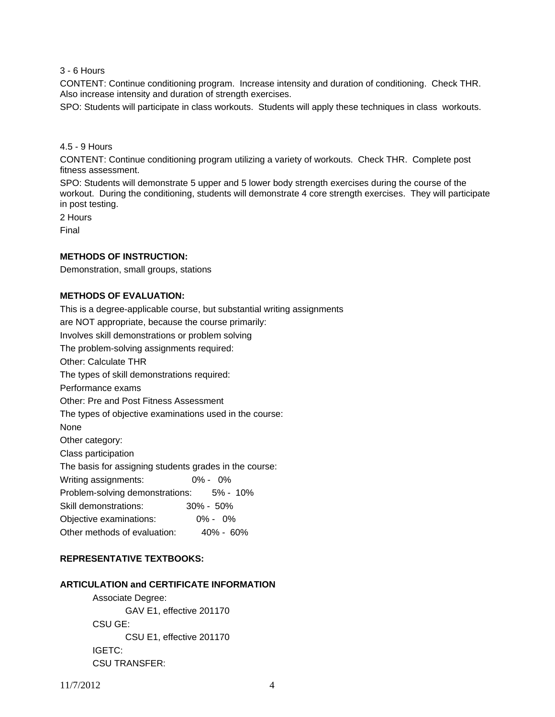3 - 6 Hours

CONTENT: Continue conditioning program. Increase intensity and duration of conditioning. Check THR. Also increase intensity and duration of strength exercises.

SPO: Students will participate in class workouts. Students will apply these techniques in class workouts.

### 4.5 - 9 Hours

CONTENT: Continue conditioning program utilizing a variety of workouts. Check THR. Complete post fitness assessment.

SPO: Students will demonstrate 5 upper and 5 lower body strength exercises during the course of the workout. During the conditioning, students will demonstrate 4 core strength exercises. They will participate in post testing.

2 Hours

Final

### **METHODS OF INSTRUCTION:**

Demonstration, small groups, stations

# **METHODS OF EVALUATION:**

This is a degree-applicable course, but substantial writing assignments are NOT appropriate, because the course primarily: Involves skill demonstrations or problem solving The problem-solving assignments required: Other: Calculate THR The types of skill demonstrations required: Performance exams Other: Pre and Post Fitness Assessment The types of objective examinations used in the course: None Other category: Class participation The basis for assigning students grades in the course: Writing assignments: 0% - 0% Problem-solving demonstrations: 5% - 10% Skill demonstrations: 30% - 50% Objective examinations: 0% - 0% Other methods of evaluation: 40% - 60%

# **REPRESENTATIVE TEXTBOOKS:**

### **ARTICULATION and CERTIFICATE INFORMATION**

 Associate Degree: GAV E1, effective 201170 CSU GE: CSU E1, effective 201170 IGETC: CSU TRANSFER: